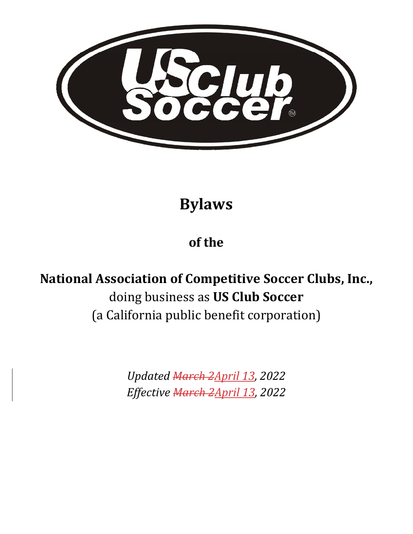

**Bylaws**

## **of the**

# **National Association of Competitive Soccer Clubs, Inc.,** doing business as **US Club Soccer**  (a California public benefit corporation)

*Updated March 2April 13, 2022 Effective March 2April 13, 2022*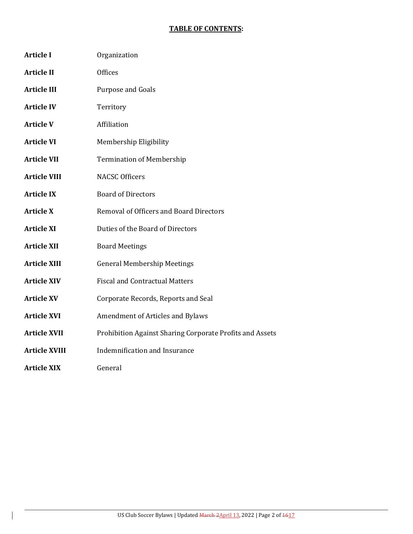#### **TABLE OF CONTENTS:**

| <b>Article I</b>     | Organization                                             |
|----------------------|----------------------------------------------------------|
| <b>Article II</b>    | <b>Offices</b>                                           |
| <b>Article III</b>   | Purpose and Goals                                        |
| <b>Article IV</b>    | Territory                                                |
| <b>Article V</b>     | Affiliation                                              |
| <b>Article VI</b>    | Membership Eligibility                                   |
| <b>Article VII</b>   | <b>Termination of Membership</b>                         |
| <b>Article VIII</b>  | <b>NACSC Officers</b>                                    |
| <b>Article IX</b>    | <b>Board of Directors</b>                                |
| <b>Article X</b>     | Removal of Officers and Board Directors                  |
| <b>Article XI</b>    | Duties of the Board of Directors                         |
| <b>Article XII</b>   | <b>Board Meetings</b>                                    |
| <b>Article XIII</b>  | <b>General Membership Meetings</b>                       |
| <b>Article XIV</b>   | <b>Fiscal and Contractual Matters</b>                    |
| <b>Article XV</b>    | Corporate Records, Reports and Seal                      |
| <b>Article XVI</b>   | Amendment of Articles and Bylaws                         |
| <b>Article XVII</b>  | Prohibition Against Sharing Corporate Profits and Assets |
| <b>Article XVIII</b> | Indemnification and Insurance                            |
| <b>Article XIX</b>   | General                                                  |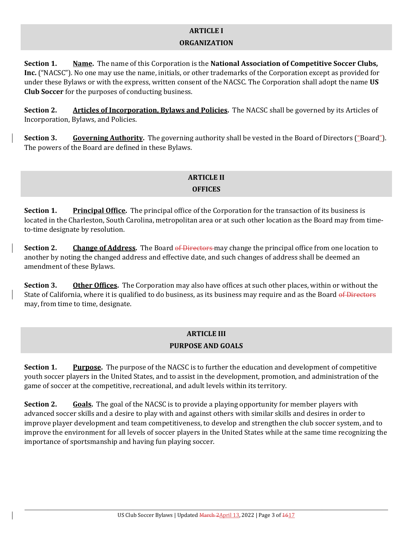#### **ARTICLE I**

#### **ORGANIZATION**

**Section 1. Name.** The name of this Corporation is the **National Association of Competitive Soccer Clubs, Inc.** ("NACSC"). No one may use the name, initials, or other trademarks of the Corporation except as provided for under these Bylaws or with the express, written consent of the NACSC. The Corporation shall adopt the name **US Club Soccer** for the purposes of conducting business.

**Section 2. Articles of Incorporation, Bylaws and Policies.** The NACSC shall be governed by its Articles of Incorporation, Bylaws, and Policies.

**Section 3. Governing Authority.** The governing authority shall be vested in the Board of Directors ("Board"). The powers of the Board are defined in these Bylaws.

#### **ARTICLE II OFFICES**

**Section 1. Principal Office.** The principal office of the Corporation for the transaction of its business is located in the Charleston, South Carolina, metropolitan area or at such other location as the Board may from timeto-time designate by resolution.

**Section 2. Change of Address.** The Board of Directors may change the principal office from one location to another by noting the changed address and effective date, and such changes of address shall be deemed an amendment of these Bylaws.

**Section 3. Other Offices.** The Corporation may also have offices at such other places, within or without the State of California, where it is qualified to do business, as its business may require and as the Board of Directors may, from time to time, designate.

## **ARTICLE III PURPOSE AND GOALS**

**Section 1. Purpose.** The purpose of the NACSC is to further the education and development of competitive youth soccer players in the United States, and to assist in the development, promotion, and administration of the game of soccer at the competitive, recreational, and adult levels within its territory.

**Section 2.** Goals. The goal of the NACSC is to provide a playing opportunity for member players with advanced soccer skills and a desire to play with and against others with similar skills and desires in order to improve player development and team competitiveness, to develop and strengthen the club soccer system, and to improve the environment for all levels of soccer players in the United States while at the same time recognizing the importance of sportsmanship and having fun playing soccer.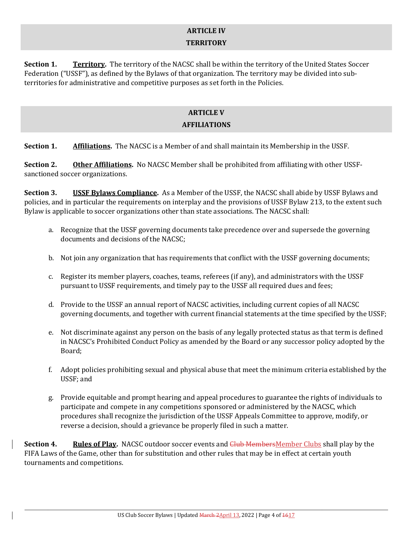#### **ARTICLE IV TERRITORY**

**Section 1. Territory.** The territory of the NACSC shall be within the territory of the United States Soccer Federation ("USSF"), as defined by the Bylaws of that organization. The territory may be divided into subterritories for administrative and competitive purposes as set forth in the Policies.

## **ARTICLE V AFFILIATIONS**

**Section 1. Affiliations.** The NACSC is a Member of and shall maintain its Membership in the USSF.

**Section 2. Other Affiliations.** No NACSC Member shall be prohibited from affiliating with other USSFsanctioned soccer organizations.

**Section 3. USSF Bylaws Compliance.** As a Member of the USSF, the NACSC shall abide by USSF Bylaws and policies, and in particular the requirements on interplay and the provisions of USSF Bylaw 213, to the extent such Bylaw is applicable to soccer organizations other than state associations. The NACSC shall:

- a. Recognize that the USSF governing documents take precedence over and supersede the governing documents and decisions of the NACSC;
- b. Not join any organization that has requirements that conflict with the USSF governing documents;
- c. Register its member players, coaches, teams, referees (if any), and administrators with the USSF pursuant to USSF requirements, and timely pay to the USSF all required dues and fees;
- d. Provide to the USSF an annual report of NACSC activities, including current copies of all NACSC governing documents, and together with current financial statements at the time specified by the USSF;
- e. Not discriminate against any person on the basis of any legally protected status as that term is defined in NACSC's Prohibited Conduct Policy as amended by the Board or any successor policy adopted by the Board;
- f. Adopt policies prohibiting sexual and physical abuse that meet the minimum criteria established by the USSF; and
- g. Provide equitable and prompt hearing and appeal procedures to guarantee the rights of individuals to participate and compete in any competitions sponsored or administered by the NACSC, which procedures shall recognize the jurisdiction of the USSF Appeals Committee to approve, modify, or reverse a decision, should a grievance be properly filed in such a matter.

**Section 4. Rules of Play.** NACSC outdoor soccer events and Club MembersMember Clubs shall play by the FIFA Laws of the Game, other than for substitution and other rules that may be in effect at certain youth tournaments and competitions.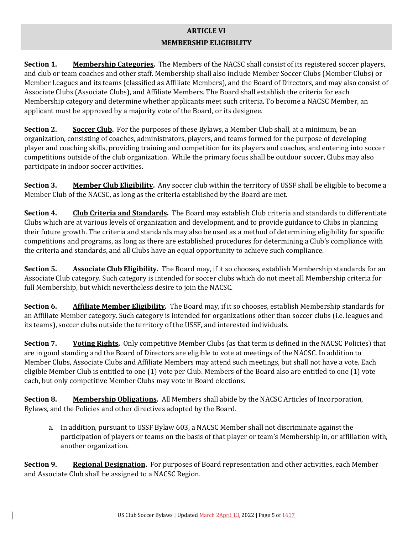## **ARTICLE VI**

#### **MEMBERSHIP ELIGIBILITY**

**Section 1. Membership Categories.** The Members of the NACSC shall consist of its registered soccer players, and club or team coaches and other staff. Membership shall also include Member Soccer Clubs (Member Clubs) or Member Leagues and its teams (classified as Affiliate Members), and the Board of Directors, and may also consist of Associate Clubs (Associate Clubs), and Affiliate Members. The Board shall establish the criteria for each Membership category and determine whether applicants meet such criteria. To become a NACSC Member, an applicant must be approved by a majority vote of the Board, or its designee.

**Section 2. Soccer Club.** For the purposes of these Bylaws, a Member Club shall, at a minimum, be an organization, consisting of coaches, administrators, players, and teams formed for the purpose of developing player and coaching skills, providing training and competition for its players and coaches, and entering into soccer competitions outside of the club organization. While the primary focus shall be outdoor soccer, Clubs may also participate in indoor soccer activities.

**Section 3. Member Club Eligibility.** Any soccer club within the territory of USSF shall be eligible to become a Member Club of the NACSC, as long as the criteria established by the Board are met.

**Section 4. Club Criteria and Standards.** The Board may establish Club criteria and standards to differentiate Clubs which are at various levels of organization and development, and to provide guidance to Clubs in planning their future growth. The criteria and standards may also be used as a method of determining eligibility for specific competitions and programs, as long as there are established procedures for determining a Club's compliance with the criteria and standards, and all Clubs have an equal opportunity to achieve such compliance.

**Section 5. Associate Club Eligibility.** The Board may, if it so chooses, establish Membership standards for an Associate Club category. Such category is intended for soccer clubs which do not meet all Membership criteria for full Membership, but which nevertheless desire to join the NACSC.

**Section 6. Affiliate Member Eligibility.** The Board may, if it so chooses, establish Membership standards for an Affiliate Member category. Such category is intended for organizations other than soccer clubs (i.e. leagues and its teams), soccer clubs outside the territory of the USSF, and interested individuals.

**Section 7. Voting Rights.** Only competitive Member Clubs (as that term is defined in the NACSC Policies) that are in good standing and the Board of Directors are eligible to vote at meetings of the NACSC. In addition to Member Clubs, Associate Clubs and Affiliate Members may attend such meetings, but shall not have a vote. Each eligible Member Club is entitled to one (1) vote per Club. Members of the Board also are entitled to one (1) vote each, but only competitive Member Clubs may vote in Board elections.

**Section 8. Membership Obligations.** All Members shall abide by the NACSC Articles of Incorporation, Bylaws, and the Policies and other directives adopted by the Board.

a. In addition, pursuant to USSF Bylaw 603, a NACSC Member shall not discriminate against the participation of players or teams on the basis of that player or team's Membership in, or affiliation with, another organization.

**Section 9. Regional Designation.** For purposes of Board representation and other activities, each Member and Associate Club shall be assigned to a NACSC Region.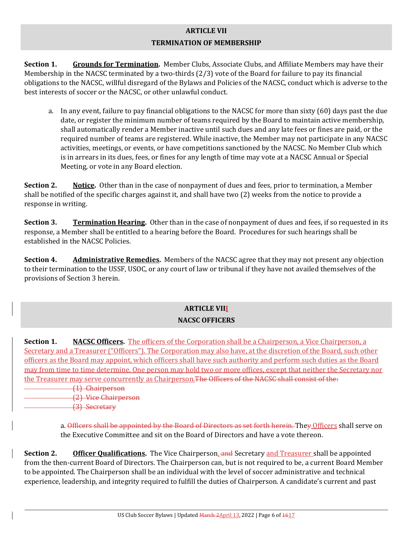### **ARTICLE VII TERMINATION OF MEMBERSHIP**

**Section 1. Grounds for Termination.** Member Clubs, Associate Clubs, and Affiliate Members may have their Membership in the NACSC terminated by a two-thirds (2/3) vote of the Board for failure to pay its financial obligations to the NACSC, willful disregard of the Bylaws and Policies of the NACSC, conduct which is adverse to the best interests of soccer or the NACSC, or other unlawful conduct.

a. In any event, failure to pay financial obligations to the NACSC for more than sixty (60) days past the due date, or register the minimum number of teams required by the Board to maintain active membership, shall automatically render a Member inactive until such dues and any late fees or fines are paid, or the required number of teams are registered. While inactive, the Member may not participate in any NACSC activities, meetings, or events, or have competitions sanctioned by the NACSC. No Member Club which is in arrears in its dues, fees, or fines for any length of time may vote at a NACSC Annual or Special Meeting, or vote in any Board election.

**Section 2. Notice.** Other than in the case of nonpayment of dues and fees, prior to termination, a Member shall be notified of the specific charges against it, and shall have two (2) weeks from the notice to provide a response in writing.

**Section 3. Termination Hearing.** Other than in the case of nonpayment of dues and fees, if so requested in its response, a Member shall be entitled to a hearing before the Board. Procedures for such hearings shall be established in the NACSC Policies.

**Section 4. Administrative Remedies.** Members of the NACSC agree that they may not present any objection to their termination to the USSF, USOC, or any court of law or tribunal if they have not availed themselves of the provisions of Section 3 herein.

## **ARTICLE VIII NACSC OFFICERS**

**Section 1. NACSC Officers.** The officers of the Corporation shall be a Chairperson, a Vice Chairperson, a Secretary and a Treasurer ("Officers"). The Corporation may also have, at the discretion of the Board, such other officers as the Board may appoint, which officers shall have such authority and perform such duties as the Board may from time to time determine. One person may hold two or more offices, except that neither the Secretary nor the Treasurer may serve concurrently as Chairperson. The Officers of the NACSC shall consist of the:

 (1) Chairperson (2) Vice Chairperson (3) Secretary

> a. Officers shall be appointed by the Board of Directors as set forth herein. They Officers shall serve on the Executive Committee and sit on the Board of Directors and have a vote thereon.

**Section 2. Officer Qualifications.** The Vice Chairperson, and Secretary and Treasurer shall be appointed from the then-current Board of Directors. The Chairperson can, but is not required to be, a current Board Member to be appointed. The Chairperson shall be an individual with the level of soccer administrative and technical experience, leadership, and integrity required to fulfill the duties of Chairperson. A candidate's current and past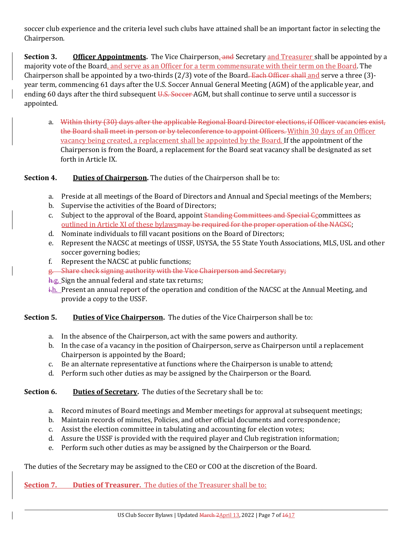soccer club experience and the criteria level such clubs have attained shall be an important factor in selecting the Chairperson.

**Section 3. Officer Appointments.** The Vice Chairperson, and Secretary and Treasurer shall be appointed by a majority vote of the Board, and serve as an Officer for a term commensurate with their term on the Board. The Chairperson shall be appointed by a two-thirds (2/3) vote of the Board. Each Officer shall and serve a three (3)year term, commencing 61 days after the U.S. Soccer Annual General Meeting (AGM) of the applicable year, and ending 60 days after the third subsequent U.S. Soccer AGM, but shall continue to serve until a successor is appointed.

a. Within thirty (30) days after the applicable Regional Board Director elections, if Officer vacancies exist, the Board shall meet in person or by teleconference to appoint Officers. Within 30 days of an Officer vacancy being created, a replacement shall be appointed by the Board. If the appointment of the Chairperson is from the Board, a replacement for the Board seat vacancy shall be designated as set forth in Article IX.

#### **Section 4.** Duties of Chairperson. The duties of the Chairperson shall be to:

- a. Preside at all meetings of the Board of Directors and Annual and Special meetings of the Members;
- b. Supervise the activities of the Board of Directors;
- c. Subject to the approval of the Board, appoint Standing Committees and Special Ccommittees as outlined in Article XI of these bylawsmay be required for the proper operation of the NACSC;
- d. Nominate individuals to fill vacant positions on the Board of Directors;
- e. Represent the NACSC at meetings of USSF, USYSA, the 55 State Youth Associations, MLS, USL and other soccer governing bodies;
- f. Represent the NACSC at public functions;
- g. Share check signing authority with the Vice Chairperson and Secretary;
- h.g. Sign the annual federal and state tax returns;
- $\frac{1}{h}$ . Present an annual report of the operation and condition of the NACSC at the Annual Meeting, and provide a copy to the USSF.

#### **Section 5.** Duties of Vice Chairperson. The duties of the Vice Chairperson shall be to:

- a. In the absence of the Chairperson, act with the same powers and authority.
- b. In the case of a vacancy in the position of Chairperson, serve as Chairperson until a replacement Chairperson is appointed by the Board;
- c. Be an alternate representative at functions where the Chairperson is unable to attend;
- d. Perform such other duties as may be assigned by the Chairperson or the Board.

#### **Section 6.** Duties of Secretary. The duties of the Secretary shall be to:

- a. Record minutes of Board meetings and Member meetings for approval at subsequent meetings;
- b. Maintain records of minutes, Policies, and other official documents and correspondence;
- c. Assist the election committee in tabulating and accounting for election votes;
- d. Assure the USSF is provided with the required player and Club registration information;
- e. Perform such other duties as may be assigned by the Chairperson or the Board.

The duties of the Secretary may be assigned to the CEO or COO at the discretion of the Board.

**Section 7. Duties of Treasurer.** The duties of the Treasurer shall be to: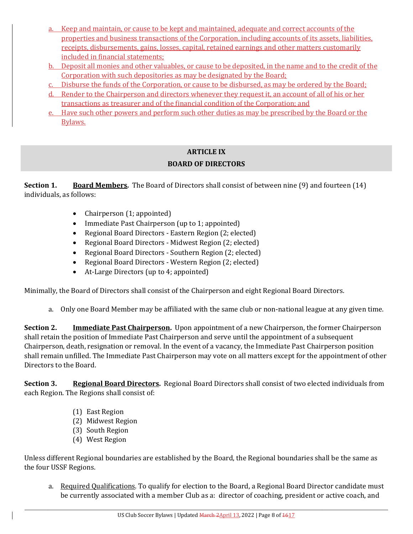- a. Keep and maintain, or cause to be kept and maintained, adequate and correct accounts of the properties and business transactions of the Corporation, including accounts of its assets, liabilities, receipts, disbursements, gains, losses, capital, retained earnings and other matters customarily included in financial statements;
- b. Deposit all monies and other valuables, or cause to be deposited, in the name and to the credit of the Corporation with such depositories as may be designated by the Board;
- c. Disburse the funds of the Corporation, or cause to be disbursed, as may be ordered by the Board;
- d. Render to the Chairperson and directors whenever they request it, an account of all of his or her transactions as treasurer and of the financial condition of the Corporation; and
- e. Have such other powers and perform such other duties as may be prescribed by the Board or the Bylaws.

#### **ARTICLE IX BOARD OF DIRECTORS**

**Section 1. Board Members.** The Board of Directors shall consist of between nine (9) and fourteen (14) individuals, as follows:

- Chairperson (1; appointed)
- Immediate Past Chairperson (up to 1; appointed)
- Regional Board Directors Eastern Region (2; elected)
- Regional Board Directors Midwest Region (2; elected)
- Regional Board Directors Southern Region (2; elected)
- Regional Board Directors Western Region (2; elected)
- At-Large Directors (up to 4; appointed)

Minimally, the Board of Directors shall consist of the Chairperson and eight Regional Board Directors.

a. Only one Board Member may be affiliated with the same club or non-national league at any given time.

**Section 2. Immediate Past Chairperson.** Upon appointment of a new Chairperson, the former Chairperson shall retain the position of Immediate Past Chairperson and serve until the appointment of a subsequent Chairperson, death, resignation or removal. In the event of a vacancy, the Immediate Past Chairperson position shall remain unfilled. The Immediate Past Chairperson may vote on all matters except for the appointment of other Directors to the Board.

**Section 3. Regional Board Directors.** Regional Board Directors shall consist of two elected individuals from each Region. The Regions shall consist of:

- (1) East Region
- (2) Midwest Region
- (3) South Region
- (4) West Region

Unless different Regional boundaries are established by the Board, the Regional boundaries shall be the same as the four USSF Regions.

a. Required Qualifications. To qualify for election to the Board, a Regional Board Director candidate must be currently associated with a member Club as a: director of coaching, president or active coach, and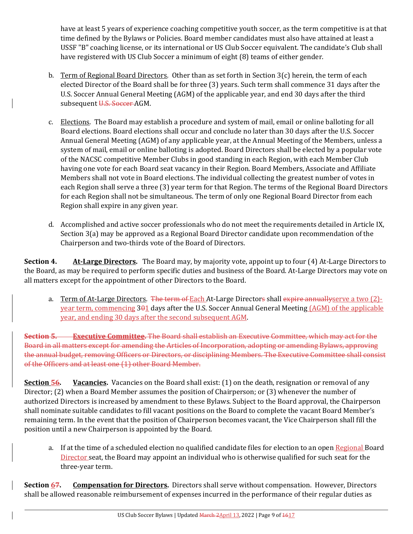have at least 5 years of experience coaching competitive youth soccer, as the term competitive is at that time defined by the Bylaws or Policies. Board member candidates must also have attained at least a USSF "B" coaching license, or its international or US Club Soccer equivalent. The candidate's Club shall have registered with US Club Soccer a minimum of eight (8) teams of either gender.

- b. Term of Regional Board Directors. Other than as set forth in Section 3(c) herein, the term of each elected Director of the Board shall be for three (3) years. Such term shall commence 31 days after the U.S. Soccer Annual General Meeting (AGM) of the applicable year, and end 30 days after the third subsequent U.S. Soccer AGM.
- c. Elections. The Board may establish a procedure and system of mail, email or online balloting for all Board elections. Board elections shall occur and conclude no later than 30 days after the U.S. Soccer Annual General Meeting (AGM) of any applicable year, at the Annual Meeting of the Members, unless a system of mail, email or online balloting is adopted. Board Directors shall be elected by a popular vote of the NACSC competitive Member Clubs in good standing in each Region, with each Member Club having one vote for each Board seat vacancy in their Region. Board Members, Associate and Affiliate Members shall not vote in Board elections. The individual collecting the greatest number of votes in each Region shall serve a three (3) year term for that Region. The terms of the Regional Board Directors for each Region shall not be simultaneous. The term of only one Regional Board Director from each Region shall expire in any given year.
- d. Accomplished and active soccer professionals who do not meet the requirements detailed in Article IX, Section 3(a) may be approved as a Regional Board Director candidate upon recommendation of the Chairperson and two-thirds vote of the Board of Directors.

**Section 4. At‐Large Directors.** The Board may, by majority vote, appoint up to four (4) At-Large Directors to the Board, as may be required to perform specific duties and business of the Board. At-Large Directors may vote on all matters except for the appointment of other Directors to the Board.

a. Term of At-Large Directors. The term of Each At-Large Directors shall expire annually serve a two (2)year term, commencing 301 days after the U.S. Soccer Annual General Meeting (AGM) of the applicable year, and ending 30 days after the second subsequent AGM.

**Section 5. Executive Committee.** The Board shall establish an Executive Committee, which may act for the Board in all matters except for amending the Articles of Incorporation, adopting or amending Bylaws, approving the annual budget, removing Officers or Directors, or disciplining Members. The Executive Committee shall consist of the Officers and at least one (1) other Board Member.

**Section 56. Vacancies.** Vacancies on the Board shall exist: (1) on the death, resignation or removal of any Director; (2) when a Board Member assumes the position of Chairperson; or (3) whenever the number of authorized Directors is increased by amendment to these Bylaws. Subject to the Board approval, the Chairperson shall nominate suitable candidates to fill vacant positions on the Board to complete the vacant Board Member's remaining term. In the event that the position of Chairperson becomes vacant, the Vice Chairperson shall fill the position until a new Chairperson is appointed by the Board.

a. If at the time of a scheduled election no qualified candidate files for election to an open Regional Board Director seat, the Board may appoint an individual who is otherwise qualified for such seat for the three-year term.

**Section 67. Compensation for Directors.** Directors shall serve without compensation. However, Directors shall be allowed reasonable reimbursement of expenses incurred in the performance of their regular duties as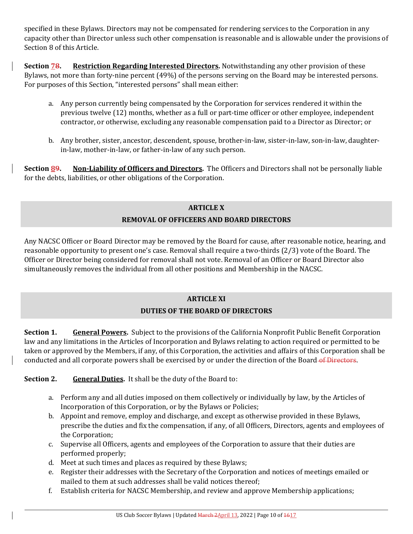specified in these Bylaws. Directors may not be compensated for rendering services to the Corporation in any capacity other than Director unless such other compensation is reasonable and is allowable under the provisions of Section 8 of this Article.

**Section 78. Restriction Regarding Interested Directors.** Notwithstanding any other provision of these Bylaws, not more than forty-nine percent (49%) of the persons serving on the Board may be interested persons. For purposes of this Section, "interested persons" shall mean either:

- a. Any person currently being compensated by the Corporation for services rendered it within the previous twelve (12) months, whether as a full or part-time officer or other employee, independent contractor, or otherwise, excluding any reasonable compensation paid to a Director as Director; or
- b. Any brother, sister, ancestor, descendent, spouse, brother-in-law, sister-in-law, son-in-law, daughterin-law, mother-in-law, or father-in-law of any such person.

**Section 89. Non‐Liability of Officers and Directors.** The Officers and Directors shall not be personally liable for the debts, liabilities, or other obligations of the Corporation.

## **ARTICLE X REMOVAL OF OFFICEERS AND BOARD DIRECTORS**

Any NACSC Officer or Board Director may be removed by the Board for cause, after reasonable notice, hearing, and reasonable opportunity to present one's case. Removal shall require a two-thirds (2/3) vote of the Board. The Officer or Director being considered for removal shall not vote. Removal of an Officer or Board Director also simultaneously removes the individual from all other positions and Membership in the NACSC.

## **ARTICLE XI**

## **DUTIES OF THE BOARD OF DIRECTORS**

**Section 1. General Powers.** Subject to the provisions of the California Nonprofit Public Benefit Corporation law and any limitations in the Articles of Incorporation and Bylaws relating to action required or permitted to be taken or approved by the Members, if any, of this Corporation, the activities and affairs of this Corporation shall be conducted and all corporate powers shall be exercised by or under the direction of the Board of Directors.

**Section 2.** General Duties. It shall be the duty of the Board to:

- a. Perform any and all duties imposed on them collectively or individually by law, by the Articles of Incorporation of this Corporation, or by the Bylaws or Policies;
- b. Appoint and remove, employ and discharge, and except as otherwise provided in these Bylaws, prescribe the duties and fix the compensation, if any, of all Officers, Directors, agents and employees of the Corporation;
- c. Supervise all Officers, agents and employees of the Corporation to assure that their duties are performed properly;
- d. Meet at such times and places as required by these Bylaws;
- e. Register their addresses with the Secretary of the Corporation and notices of meetings emailed or mailed to them at such addresses shall be valid notices thereof;
- f. Establish criteria for NACSC Membership, and review and approve Membership applications;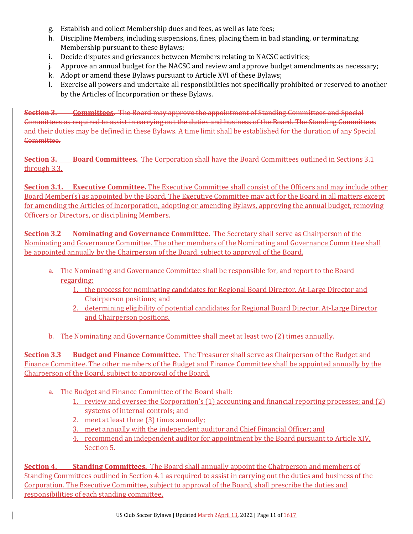- g. Establish and collect Membership dues and fees, as well as late fees;
- h. Discipline Members, including suspensions, fines, placing them in bad standing, or terminating Membership pursuant to these Bylaws;
- i. Decide disputes and grievances between Members relating to NACSC activities;
- j. Approve an annual budget for the NACSC and review and approve budget amendments as necessary;
- k. Adopt or amend these Bylaws pursuant to Article XVI of these Bylaws;
- l. Exercise all powers and undertake all responsibilities not specifically prohibited or reserved to another by the Articles of Incorporation or these Bylaws.

**Section 3. Committees.** The Board may approve the appointment of Standing Committees and Special Committees as required to assist in carrying out the duties and business of the Board. The Standing Committees and their duties may be defined in these Bylaws. A time limit shall be established for the duration of any Special Committee.

**Section 3. Board Committees.** The Corporation shall have the Board Committees outlined in Sections 3.1 through 3.3.

**Section 3.1. Executive Committee.** The Executive Committee shall consist of the Officers and may include other Board Member(s) as appointed by the Board. The Executive Committee may act for the Board in all matters except for amending the Articles of Incorporation, adopting or amending Bylaws, approving the annual budget, removing Officers or Directors, or disciplining Members.

**Section 3.2 Nominating and Governance Committee.** The Secretary shall serve as Chairperson of the Nominating and Governance Committee. The other members of the Nominating and Governance Committee shall be appointed annually by the Chairperson of the Board, subject to approval of the Board.

- a. The Nominating and Governance Committee shall be responsible for, and report to the Board regarding:
	- 1. the process for nominating candidates for Regional Board Director, At-Large Director and Chairperson positions; and
	- 2. determining eligibility of potential candidates for Regional Board Director, At-Large Director and Chairperson positions.

b. The Nominating and Governance Committee shall meet at least two (2) times annually.

**Section 3.3 Budget and Finance Committee.** The Treasurer shall serve as Chairperson of the Budget and Finance Committee. The other members of the Budget and Finance Committee shall be appointed annually by the Chairperson of the Board, subject to approval of the Board.

- a. The Budget and Finance Committee of the Board shall:
	- 1. review and oversee the Corporation's (1) accounting and financial reporting processes; and (2) systems of internal controls; and
	- 2. meet at least three (3) times annually;
	- 3. meet annually with the independent auditor and Chief Financial Officer; and
	- 4. recommend an independent auditor for appointment by the Board pursuant to Article XIV, Section 5.

**Section 4. Standing Committees.** The Board shall annually appoint the Chairperson and members of Standing Committees outlined in Section 4.1 as required to assist in carrying out the duties and business of the Corporation. The Executive Committee, subject to approval of the Board, shall prescribe the duties and responsibilities of each standing committee.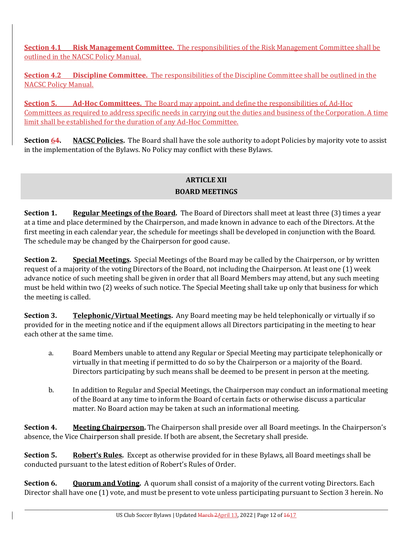**Section 4.1 Risk Management Committee.** The responsibilities of the Risk Management Committee shall be outlined in the NACSC Policy Manual.

**Section 4.2 Discipline Committee.** The responsibilities of the Discipline Committee shall be outlined in the NACSC Policy Manual.

**Section 5. Ad‐Hoc Committees.** The Board may appoint, and define the responsibilities of, Ad-Hoc Committees as required to address specific needs in carrying out the duties and business of the Corporation. A time limit shall be established for the duration of any Ad-Hoc Committee.

**Section 64. NACSC Policies.** The Board shall have the sole authority to adopt Policies by majority vote to assist in the implementation of the Bylaws. No Policy may conflict with these Bylaws.

## **ARTICLE XII BOARD MEETINGS**

**Section 1. Regular Meetings of the Board.** The Board of Directors shall meet at least three (3) times a year at a time and place determined by the Chairperson, and made known in advance to each of the Directors. At the first meeting in each calendar year, the schedule for meetings shall be developed in conjunction with the Board. The schedule may be changed by the Chairperson for good cause.

**Section 2. Special Meetings.** Special Meetings of the Board may be called by the Chairperson, or by written request of a majority of the voting Directors of the Board, not including the Chairperson. At least one (1) week advance notice of such meeting shall be given in order that all Board Members may attend, but any such meeting must be held within two (2) weeks of such notice. The Special Meeting shall take up only that business for which the meeting is called.

**Section 3. Telephonic/Virtual Meetings.** Any Board meeting may be held telephonically or virtually if so provided for in the meeting notice and if the equipment allows all Directors participating in the meeting to hear each other at the same time.

- a. Board Members unable to attend any Regular or Special Meeting may participate telephonically or virtually in that meeting if permitted to do so by the Chairperson or a majority of the Board. Directors participating by such means shall be deemed to be present in person at the meeting.
- b. In addition to Regular and Special Meetings, the Chairperson may conduct an informational meeting of the Board at any time to inform the Board of certain facts or otherwise discuss a particular matter. No Board action may be taken at such an informational meeting.

**Section 4. Meeting Chairperson.** The Chairperson shall preside over all Board meetings. In the Chairperson's absence, the Vice Chairperson shall preside. If both are absent, the Secretary shall preside.

**Section 5. Robert's Rules.** Except as otherwise provided for in these Bylaws, all Board meetings shall be conducted pursuant to the latest edition of Robert's Rules of Order.

**Section 6. Quorum and Voting.** A quorum shall consist of a majority of the current voting Directors. Each Director shall have one (1) vote, and must be present to vote unless participating pursuant to Section 3 herein. No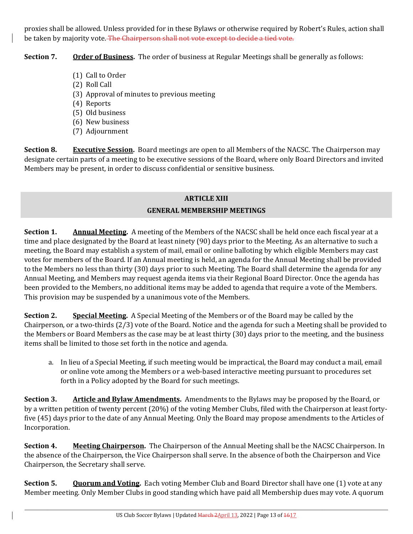proxies shall be allowed. Unless provided for in these Bylaws or otherwise required by Robert's Rules, action shall be taken by majority vote. The Chairperson shall not vote except to decide a tied vote.

**Section 7. Order of Business.** The order of business at Regular Meetings shall be generally as follows:

- (1) Call to Order
- (2) Roll Call
- (3) Approval of minutes to previous meeting
- (4) Reports
- (5) Old business
- (6) New business
- (7) Adjournment

**Section 8. Executive Session.** Board meetings are open to all Members of the NACSC. The Chairperson may designate certain parts of a meeting to be executive sessions of the Board, where only Board Directors and invited Members may be present, in order to discuss confidential or sensitive business.

#### **ARTICLE XIII GENERAL MEMBERSHIP MEETINGS**

**Section 1. Annual Meeting.** A meeting of the Members of the NACSC shall be held once each fiscal year at a time and place designated by the Board at least ninety (90) days prior to the Meeting. As an alternative to such a meeting, the Board may establish a system of mail, email or online balloting by which eligible Members may cast votes for members of the Board. If an Annual meeting is held, an agenda for the Annual Meeting shall be provided to the Members no less than thirty (30) days prior to such Meeting. The Board shall determine the agenda for any Annual Meeting, and Members may request agenda items via their Regional Board Director. Once the agenda has been provided to the Members, no additional items may be added to agenda that require a vote of the Members. This provision may be suspended by a unanimous vote of the Members.

**Section 2. Special Meeting.** A Special Meeting of the Members or of the Board may be called by the Chairperson, or a two-thirds (2/3) vote of the Board. Notice and the agenda for such a Meeting shall be provided to the Members or Board Members as the case may be at least thirty (30) days prior to the meeting, and the business items shall be limited to those set forth in the notice and agenda.

a. In lieu of a Special Meeting, if such meeting would be impractical, the Board may conduct a mail, email or online vote among the Members or a web-based interactive meeting pursuant to procedures set forth in a Policy adopted by the Board for such meetings.

**Section 3. Article and Bylaw Amendments.** Amendments to the Bylaws may be proposed by the Board, or by a written petition of twenty percent (20%) of the voting Member Clubs, filed with the Chairperson at least fortyfive (45) days prior to the date of any Annual Meeting. Only the Board may propose amendments to the Articles of Incorporation.

**Section 4. Meeting Chairperson.** The Chairperson of the Annual Meeting shall be the NACSC Chairperson. In the absence of the Chairperson, the Vice Chairperson shall serve. In the absence of both the Chairperson and Vice Chairperson, the Secretary shall serve.

**Section 5. Quorum and Voting.** Each voting Member Club and Board Director shall have one (1) vote at any Member meeting. Only Member Clubs in good standing which have paid all Membership dues may vote. A quorum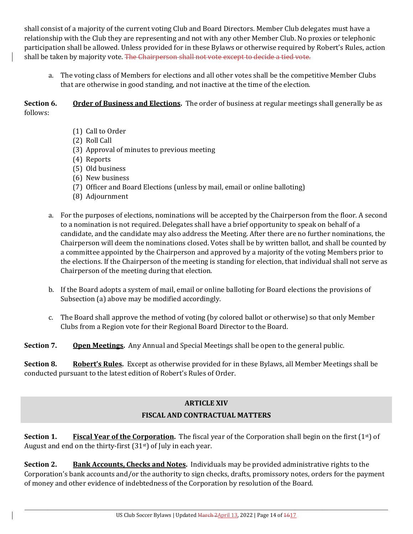shall consist of a majority of the current voting Club and Board Directors. Member Club delegates must have a relationship with the Club they are representing and not with any other Member Club. No proxies or telephonic participation shall be allowed. Unless provided for in these Bylaws or otherwise required by Robert's Rules, action shall be taken by majority vote. The Chairperson shall not vote except to decide a tied vote.

a. The voting class of Members for elections and all other votes shall be the competitive Member Clubs that are otherwise in good standing, and not inactive at the time of the election.

**Section 6. Order of Business and Elections.** The order of business at regular meetings shall generally be as follows:

- (1) Call to Order
- (2) Roll Call
- (3) Approval of minutes to previous meeting
- (4) Reports
- (5) Old business
- (6) New business
- (7) Officer and Board Elections (unless by mail, email or online balloting)
- (8) Adjournment
- a. For the purposes of elections, nominations will be accepted by the Chairperson from the floor. A second to a nomination is not required. Delegates shall have a brief opportunity to speak on behalf of a candidate, and the candidate may also address the Meeting. After there are no further nominations, the Chairperson will deem the nominations closed. Votes shall be by written ballot, and shall be counted by a committee appointed by the Chairperson and approved by a majority of the voting Members prior to the elections. If the Chairperson of the meeting is standing for election, that individual shall not serve as Chairperson of the meeting during that election.
- b. If the Board adopts a system of mail, email or online balloting for Board elections the provisions of Subsection (a) above may be modified accordingly.
- c. The Board shall approve the method of voting (by colored ballot or otherwise) so that only Member Clubs from a Region vote for their Regional Board Director to the Board.

**Section 7. Open Meetings.** Any Annual and Special Meetings shall be open to the general public.

**Section 8. Robert's Rules.** Except as otherwise provided for in these Bylaws, all Member Meetings shall be conducted pursuant to the latest edition of Robert's Rules of Order.

## **ARTICLE XIV FISCAL AND CONTRACTUAL MATTERS**

**Section 1.** Fiscal Year of the Corporation. The fiscal year of the Corporation shall begin on the first (1<sup>st</sup>) of August and end on the thirty-first (31st) of July in each year.

**Section 2. Bank Accounts, Checks and Notes.** Individuals may be provided administrative rights to the Corporation's bank accounts and/or the authority to sign checks, drafts, promissory notes, orders for the payment of money and other evidence of indebtedness of the Corporation by resolution of the Board.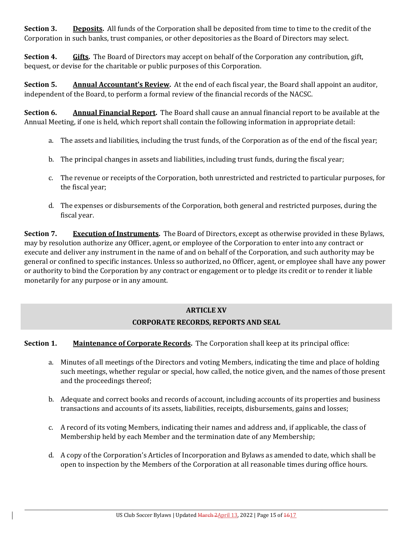**Section 3. Deposits.** All funds of the Corporation shall be deposited from time to time to the credit of the Corporation in such banks, trust companies, or other depositories as the Board of Directors may select.

**Section 4. Gifts.** The Board of Directors may accept on behalf of the Corporation any contribution, gift, bequest, or devise for the charitable or public purposes of this Corporation.

**Section 5. Annual Accountant's Review.** At the end of each fiscal year, the Board shall appoint an auditor, independent of the Board, to perform a formal review of the financial records of the NACSC.

**Section 6. Annual Financial Report.** The Board shall cause an annual financial report to be available at the Annual Meeting, if one is held, which report shall contain the following information in appropriate detail:

- a. The assets and liabilities, including the trust funds, of the Corporation as of the end of the fiscal year;
- b. The principal changes in assets and liabilities, including trust funds, during the fiscal year;
- c. The revenue or receipts of the Corporation, both unrestricted and restricted to particular purposes, for the fiscal year;
- d. The expenses or disbursements of the Corporation, both general and restricted purposes, during the fiscal year.

**Section 7. Execution of Instruments.** The Board of Directors, except as otherwise provided in these Bylaws, may by resolution authorize any Officer, agent, or employee of the Corporation to enter into any contract or execute and deliver any instrument in the name of and on behalf of the Corporation, and such authority may be general or confined to specific instances. Unless so authorized, no Officer, agent, or employee shall have any power or authority to bind the Corporation by any contract or engagement or to pledge its credit or to render it liable monetarily for any purpose or in any amount.

#### **ARTICLE XV**

## **CORPORATE RECORDS, REPORTS AND SEAL**

**Section 1. Maintenance of Corporate Records.** The Corporation shall keep at its principal office:

- a. Minutes of all meetings of the Directors and voting Members, indicating the time and place of holding such meetings, whether regular or special, how called, the notice given, and the names of those present and the proceedings thereof;
- b. Adequate and correct books and records of account, including accounts of its properties and business transactions and accounts of its assets, liabilities, receipts, disbursements, gains and losses;
- c. A record of its voting Members, indicating their names and address and, if applicable, the class of Membership held by each Member and the termination date of any Membership;
- d. A copy of the Corporation's Articles of Incorporation and Bylaws as amended to date, which shall be open to inspection by the Members of the Corporation at all reasonable times during office hours.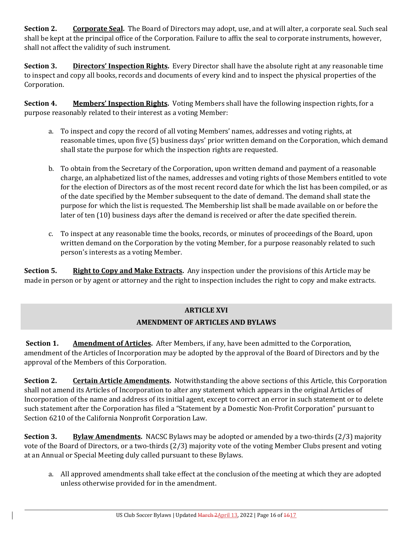**Section 2. Corporate Seal.** The Board of Directors may adopt, use, and at will alter, a corporate seal. Such seal shall be kept at the principal office of the Corporation. Failure to affix the seal to corporate instruments, however, shall not affect the validity of such instrument.

**Section 3. Directors' Inspection Rights.** Every Director shall have the absolute right at any reasonable time to inspect and copy all books, records and documents of every kind and to inspect the physical properties of the Corporation.

**Section 4. Members' Inspection Rights.** Voting Members shall have the following inspection rights, for a purpose reasonably related to their interest as a voting Member:

- a. To inspect and copy the record of all voting Members' names, addresses and voting rights, at reasonable times, upon five (5) business days' prior written demand on the Corporation, which demand shall state the purpose for which the inspection rights are requested.
- b. To obtain from the Secretary of the Corporation, upon written demand and payment of a reasonable charge, an alphabetized list of the names, addresses and voting rights of those Members entitled to vote for the election of Directors as of the most recent record date for which the list has been compiled, or as of the date specified by the Member subsequent to the date of demand. The demand shall state the purpose for which the list is requested. The Membership list shall be made available on or before the later of ten (10) business days after the demand is received or after the date specified therein.
- c. To inspect at any reasonable time the books, records, or minutes of proceedings of the Board, upon written demand on the Corporation by the voting Member, for a purpose reasonably related to such person's interests as a voting Member.

**Section 5. Right to Copy and Make Extracts.** Any inspection under the provisions of this Article may be made in person or by agent or attorney and the right to inspection includes the right to copy and make extracts.

## **ARTICLE XVI AMENDMENT OF ARTICLES AND BYLAWS**

**Section 1. Amendment of Articles.** After Members, if any, have been admitted to the Corporation, amendment of the Articles of Incorporation may be adopted by the approval of the Board of Directors and by the approval of the Members of this Corporation.

**Section 2. Certain Article Amendments.** Notwithstanding the above sections of this Article, this Corporation shall not amend its Articles of Incorporation to alter any statement which appears in the original Articles of Incorporation of the name and address of its initial agent, except to correct an error in such statement or to delete such statement after the Corporation has filed a "Statement by a Domestic Non-Profit Corporation" pursuant to Section 6210 of the California Nonprofit Corporation Law.

**Section 3. Bylaw Amendments.** NACSC Bylaws may be adopted or amended by a two-thirds (2/3) majority vote of the Board of Directors, or a two-thirds (2/3) majority vote of the voting Member Clubs present and voting at an Annual or Special Meeting duly called pursuant to these Bylaws.

a. All approved amendments shall take effect at the conclusion of the meeting at which they are adopted unless otherwise provided for in the amendment.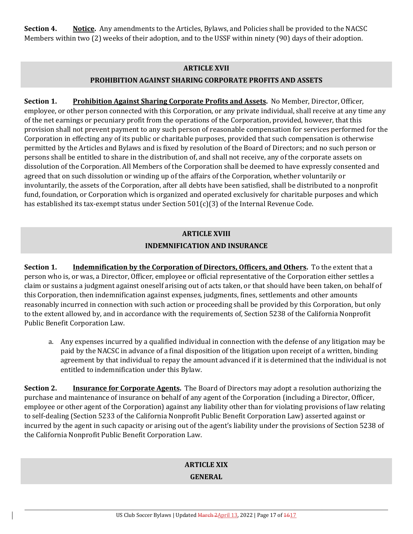**Section 4. Notice.** Any amendments to the Articles, Bylaws, and Policies shall be provided to the NACSC Members within two (2) weeks of their adoption, and to the USSF within ninety (90) days of their adoption.

#### **ARTICLE XVII**

## **PROHIBITION AGAINST SHARING CORPORATE PROFITS AND ASSETS**

**Section 1. Prohibition Against Sharing Corporate Profits and Assets.** No Member, Director, Officer, employee, or other person connected with this Corporation, or any private individual, shall receive at any time any of the net earnings or pecuniary profit from the operations of the Corporation, provided, however, that this provision shall not prevent payment to any such person of reasonable compensation for services performed for the Corporation in effecting any of its public or charitable purposes, provided that such compensation is otherwise permitted by the Articles and Bylaws and is fixed by resolution of the Board of Directors; and no such person or persons shall be entitled to share in the distribution of, and shall not receive, any of the corporate assets on dissolution of the Corporation. All Members of the Corporation shall be deemed to have expressly consented and agreed that on such dissolution or winding up of the affairs of the Corporation, whether voluntarily or involuntarily, the assets of the Corporation, after all debts have been satisfied, shall be distributed to a nonprofit fund, foundation, or Corporation which is organized and operated exclusively for charitable purposes and which has established its tax-exempt status under Section 501(c)(3) of the Internal Revenue Code.

## **ARTICLE XVIII INDEMNIFICATION AND INSURANCE**

**Section 1. Indemnification by the Corporation of Directors, Officers, and Others.** To the extent that a person who is, or was, a Director, Officer, employee or official representative of the Corporation either settles a claim or sustains a judgment against oneself arising out of acts taken, or that should have been taken, on behalf of this Corporation, then indemnification against expenses, judgments, fines, settlements and other amounts reasonably incurred in connection with such action or proceeding shall be provided by this Corporation, but only to the extent allowed by, and in accordance with the requirements of, Section 5238 of the California Nonprofit Public Benefit Corporation Law.

a. Any expenses incurred by a qualified individual in connection with the defense of any litigation may be paid by the NACSC in advance of a final disposition of the litigation upon receipt of a written, binding agreement by that individual to repay the amount advanced if it is determined that the individual is not entitled to indemnification under this Bylaw.

**Section 2. Insurance for Corporate Agents.** The Board of Directors may adopt a resolution authorizing the purchase and maintenance of insurance on behalf of any agent of the Corporation (including a Director, Officer, employee or other agent of the Corporation) against any liability other than for violating provisions of law relating to self-dealing (Section 5233 of the California Nonprofit Public Benefit Corporation Law) asserted against or incurred by the agent in such capacity or arising out of the agent's liability under the provisions of Section 5238 of the California Nonprofit Public Benefit Corporation Law.

## **ARTICLE XIX**

#### **GENERAL**